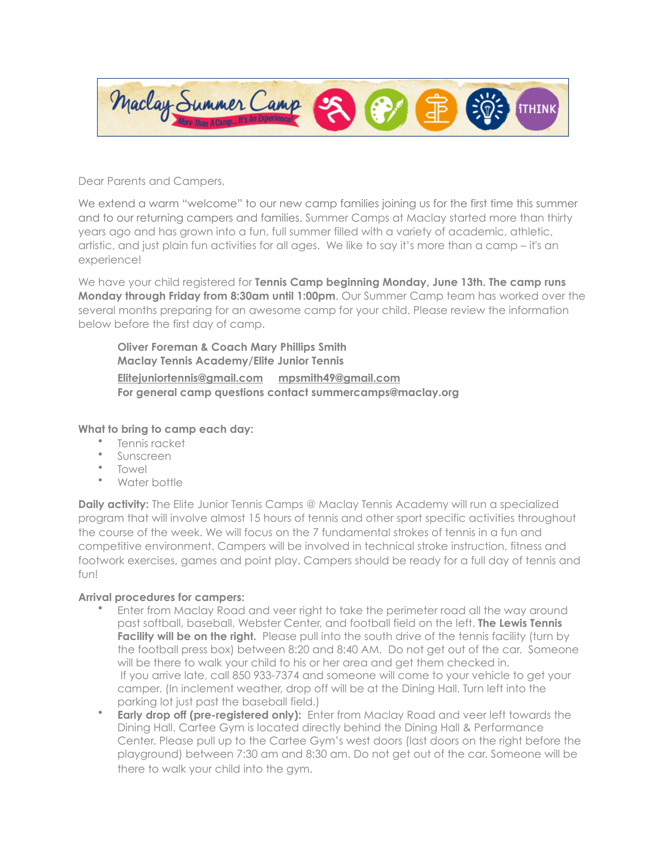

Dear Parents and Campers,

We extend a warm "welcome" to our new camp families joining us for the first time this summer and to our returning campers and families. Summer Camps at Maclay started more than thirty years ago and has grown into a fun, full summer filled with a variety of academic, athletic, artistic, and just plain fun activities for all ages. We like to say it's more than a camp – it's an experience!

We have your child registered for **Tennis Camp beginning Monday, June 13th. The camp runs Monday through Friday from 8:30am until 1:00pm**. Our Summer Camp team has worked over the several months preparing for an awesome camp for your child. Please review the information below before the first day of camp.

**Oliver Foreman & Coach Mary Phillips Smith Maclay Tennis Academy/Elite Junior Tennis [Elitejuniortennis@gmail.com](mailto:Elitejuniortennis@gmail.com) [mpsmith49@gmail.com](mailto:mpsmith49@gmail.com) For general camp questions contact summercamps@maclay.org**

## **What to bring to camp each day:**

- Tennis racket
- Sunscreen
- Towel
- Water bottle

**Daily activity:** The Elite Junior Tennis Camps @ Maclay Tennis Academy will run a specialized program that will involve almost 15 hours of tennis and other sport specific activities throughout the course of the week. We will focus on the 7 fundamental strokes of tennis in a fun and competitive environment. Campers will be involved in technical stroke instruction, fitness and footwork exercises, games and point play. Campers should be ready for a full day of tennis and fun!

## **Arrival procedures for campers:**

- Enter from Maclay Road and veer right to take the perimeter road all the way around past softball, baseball, Webster Center, and football field on the left. **The Lewis Tennis Facility will be on the right.** Please pull into the south drive of the tennis facility (turn by the football press box) between 8:20 and 8:40 AM. Do not get out of the car. Someone will be there to walk your child to his or her area and get them checked in. If you arrive late, call 850 933-7374 and someone will come to your vehicle to get your camper. (In inclement weather, drop off will be at the Dining Hall. Turn left into the parking lot just past the baseball field.)
- **Early drop off (pre-registered only):** Enter from Maclay Road and veer left towards the Dining Hall. Cartee Gym is located directly behind the Dining Hall & Performance Center. Please pull up to the Cartee Gym's west doors (last doors on the right before the playground) between 7:30 am and 8:30 am. Do not get out of the car. Someone will be there to walk your child into the gym.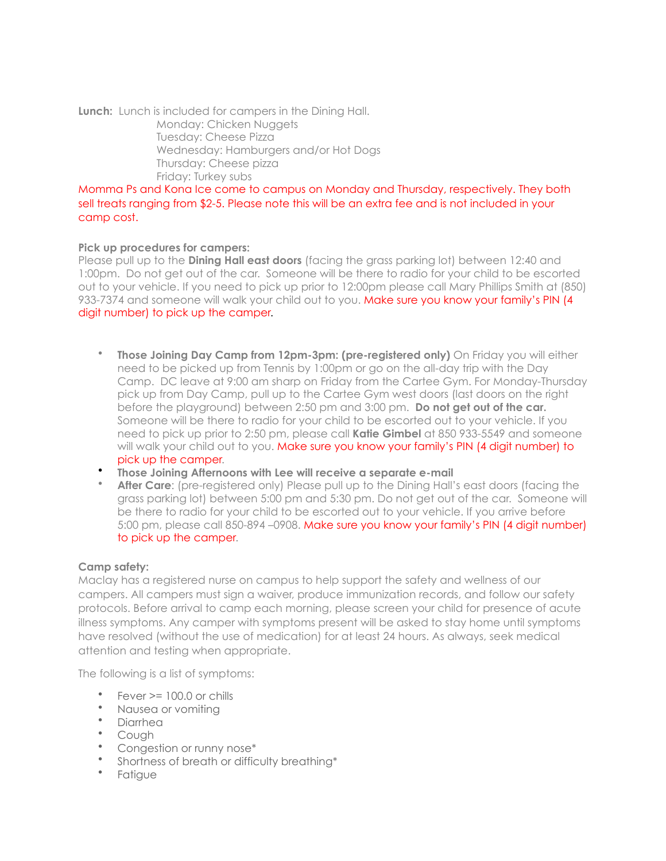**Lunch:** Lunch is included for campers in the Dining Hall. Monday: Chicken Nuggets Tuesday: Cheese Pizza Wednesday: Hamburgers and/or Hot Dogs Thursday: Cheese pizza Friday: Turkey subs

Momma Ps and Kona Ice come to campus on Monday and Thursday, respectively. They both sell treats ranging from \$2-5. Please note this will be an extra fee and is not included in your camp cost.

## **Pick up procedures for campers:**

Please pull up to the **Dining Hall east doors** (facing the grass parking lot) between 12:40 and 1:00pm. Do not get out of the car. Someone will be there to radio for your child to be escorted out to your vehicle. If you need to pick up prior to 12:00pm please call Mary Phillips Smith at (850) 933-7374 and someone will walk your child out to you. Make sure you know your family's PIN (4 digit number) to pick up the camper.

- **Those Joining Day Camp from 12pm-3pm: (pre-registered only)** On Friday you will either need to be picked up from Tennis by 1:00pm or go on the all-day trip with the Day Camp. DC leave at 9:00 am sharp on Friday from the Cartee Gym. For Monday-Thursday pick up from Day Camp, pull up to the Cartee Gym west doors (last doors on the right before the playground) between 2:50 pm and 3:00 pm. **Do not get out of the car.** Someone will be there to radio for your child to be escorted out to your vehicle. If you need to pick up prior to 2:50 pm, please call **Katie Gimbel** at 850 933-5549 and someone will walk your child out to you. Make sure you know your family's PIN (4 digit number) to pick up the camper.
- **Those Joining Afternoons with Lee will receive a separate e-mail**
- **After Care**: (pre-registered only) Please pull up to the Dining Hall's east doors (facing the grass parking lot) between 5:00 pm and 5:30 pm. Do not get out of the car. Someone will be there to radio for your child to be escorted out to your vehicle. If you arrive before 5:00 pm, please call 850-894 –0908. Make sure you know your family's PIN (4 digit number) to pick up the camper.

## **Camp safety:**

Maclay has a registered nurse on campus to help support the safety and wellness of our campers. All campers must sign a waiver, produce immunization records, and follow our safety protocols. Before arrival to camp each morning, please screen your child for presence of acute illness symptoms. Any camper with symptoms present will be asked to stay home until symptoms have resolved (without the use of medication) for at least 24 hours. As always, seek medical attention and testing when appropriate.

The following is a list of symptoms:

- $Fever = 100.0$  or chills
- Nausea or vomiting
- Diarrhea
- Cough
- Congestion or runny nose\*
- Shortness of breath or difficulty breathing\*
- Fatigue